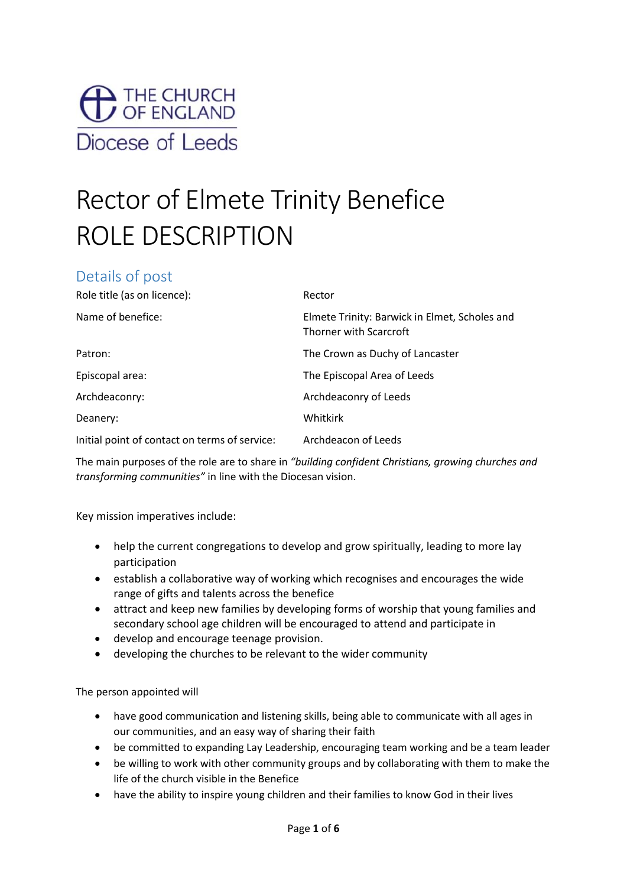# THE CHURCH Diocese of Leeds

## Rector of Elmete Trinity Benefice ROLE DESCRIPTION

## Details of post

| Role title (as on licence):                   | Rector                                                                  |
|-----------------------------------------------|-------------------------------------------------------------------------|
| Name of benefice:                             | Elmete Trinity: Barwick in Elmet, Scholes and<br>Thorner with Scarcroft |
| Patron:                                       | The Crown as Duchy of Lancaster                                         |
| Episcopal area:                               | The Episcopal Area of Leeds                                             |
| Archdeaconry:                                 | Archdeaconry of Leeds                                                   |
| Deanery:                                      | Whitkirk                                                                |
| Initial point of contact on terms of service: | Archdeacon of Leeds                                                     |

The main purposes of the role are to share in *"building confident Christians, growing churches and transforming communities"* in line with the Diocesan vision.

Key mission imperatives include:

- help the current congregations to develop and grow spiritually, leading to more lay participation
- establish a collaborative way of working which recognises and encourages the wide range of gifts and talents across the benefice
- attract and keep new families by developing forms of worship that young families and secondary school age children will be encouraged to attend and participate in
- develop and encourage teenage provision.
- developing the churches to be relevant to the wider community

The person appointed will

- have good communication and listening skills, being able to communicate with all ages in our communities, and an easy way of sharing their faith
- be committed to expanding Lay Leadership, encouraging team working and be a team leader
- be willing to work with other community groups and by collaborating with them to make the life of the church visible in the Benefice
- have the ability to inspire young children and their families to know God in their lives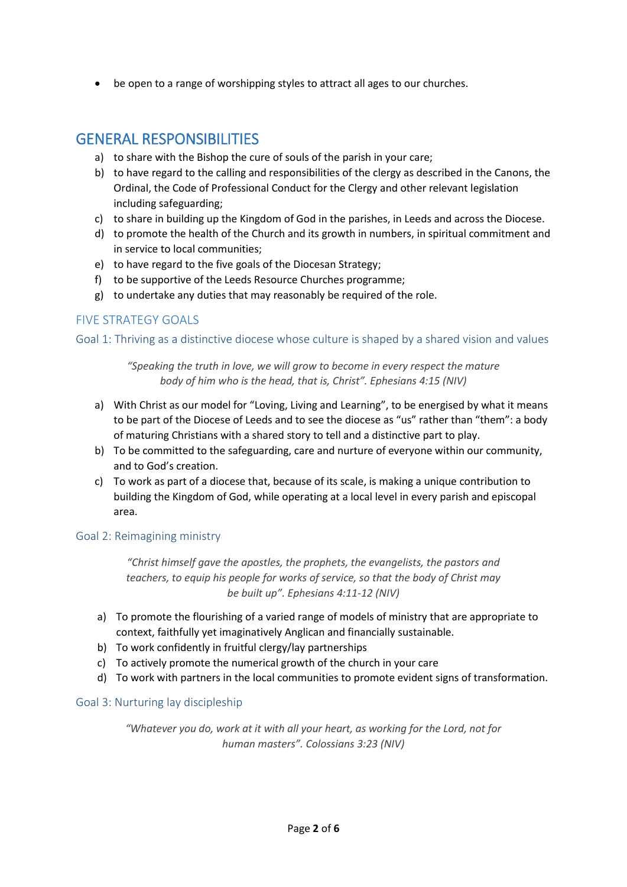be open to a range of worshipping styles to attract all ages to our churches.

## GENERAL RESPONSIBILITIES

- a) to share with the Bishop the cure of souls of the parish in your care;
- b) to have regard to the calling and responsibilities of the clergy as described in the Canons, the Ordinal, the Code of Professional Conduct for the Clergy and other relevant legislation including safeguarding;
- c) to share in building up the Kingdom of God in the parishes, in Leeds and across the Diocese.
- d) to promote the health of the Church and its growth in numbers, in spiritual commitment and in service to local communities;
- e) to have regard to the five goals of the Diocesan Strategy;
- f) to be supportive of the Leeds Resource Churches programme;
- g) to undertake any duties that may reasonably be required of the role.

#### FIVE STRATEGY GOALS

#### Goal 1: Thriving as a distinctive diocese whose culture is shaped by a shared vision and values

*"Speaking the truth in love, we will grow to become in every respect the mature body of him who is the head, that is, Christ". Ephesians 4:15 (NIV)* 

- a) With Christ as our model for "Loving, Living and Learning", to be energised by what it means to be part of the Diocese of Leeds and to see the diocese as "us" rather than "them": a body of maturing Christians with a shared story to tell and a distinctive part to play.
- b) To be committed to the safeguarding, care and nurture of everyone within our community, and to God's creation.
- c) To work as part of a diocese that, because of its scale, is making a unique contribution to building the Kingdom of God, while operating at a local level in every parish and episcopal area.

#### Goal 2: Reimagining ministry

*"Christ himself gave the apostles, the prophets, the evangelists, the pastors and teachers, to equip his people for works of service, so that the body of Christ may be built up". Ephesians 4:11-12 (NIV)* 

- a) To promote the flourishing of a varied range of models of ministry that are appropriate to context, faithfully yet imaginatively Anglican and financially sustainable.
- b) To work confidently in fruitful clergy/lay partnerships
- c) To actively promote the numerical growth of the church in your care
- d) To work with partners in the local communities to promote evident signs of transformation.

#### Goal 3: Nurturing lay discipleship

*"Whatever you do, work at it with all your heart, as working for the Lord, not for human masters". Colossians 3:23 (NIV)*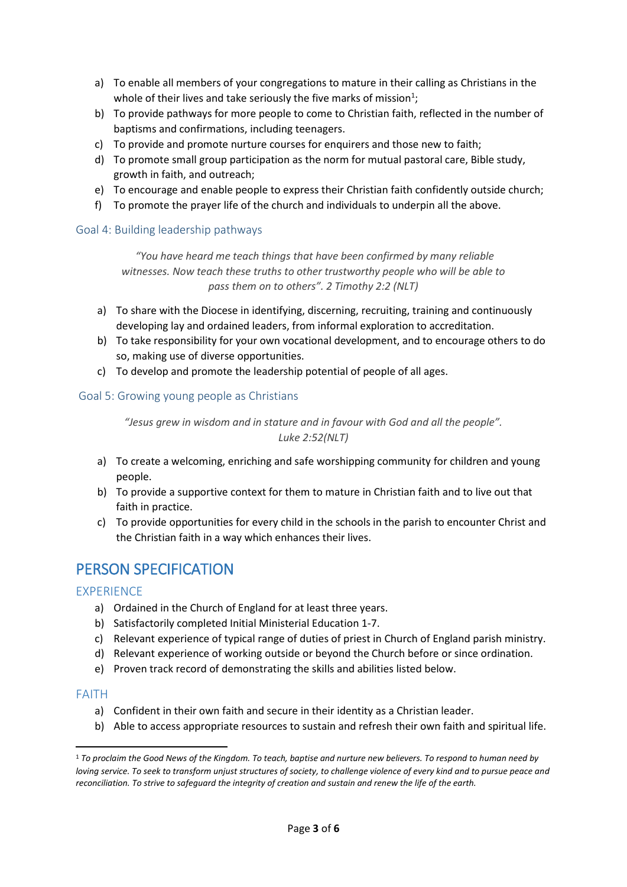- a) To enable all members of your congregations to mature in their calling as Christians in the whole of their lives and take seriously the five marks of mission<sup>1</sup>;
- b) To provide pathways for more people to come to Christian faith, reflected in the number of baptisms and confirmations, including teenagers.
- c) To provide and promote nurture courses for enquirers and those new to faith;
- d) To promote small group participation as the norm for mutual pastoral care, Bible study, growth in faith, and outreach;
- e) To encourage and enable people to express their Christian faith confidently outside church;
- f) To promote the prayer life of the church and individuals to underpin all the above.

#### Goal 4: Building leadership pathways

*"You have heard me teach things that have been confirmed by many reliable witnesses. Now teach these truths to other trustworthy people who will be able to pass them on to others". 2 Timothy 2:2 (NLT)* 

- a) To share with the Diocese in identifying, discerning, recruiting, training and continuously developing lay and ordained leaders, from informal exploration to accreditation.
- b) To take responsibility for your own vocational development, and to encourage others to do so, making use of diverse opportunities.
- c) To develop and promote the leadership potential of people of all ages.

#### Goal 5: Growing young people as Christians

*"Jesus grew in wisdom and in stature and in favour with God and all the people". Luke 2:52(NLT)* 

- a) To create a welcoming, enriching and safe worshipping community for children and young people.
- b) To provide a supportive context for them to mature in Christian faith and to live out that faith in practice.
- c) To provide opportunities for every child in the schools in the parish to encounter Christ and the Christian faith in a way which enhances their lives.

## PERSON SPECIFICATION

#### **EXPERIENCE**

- a) Ordained in the Church of England for at least three years.
- b) Satisfactorily completed Initial Ministerial Education 1-7.
- c) Relevant experience of typical range of duties of priest in Church of England parish ministry.
- d) Relevant experience of working outside or beyond the Church before or since ordination.
- e) Proven track record of demonstrating the skills and abilities listed below.

#### FAITH

**.** 

- a) Confident in their own faith and secure in their identity as a Christian leader.
- b) Able to access appropriate resources to sustain and refresh their own faith and spiritual life.

<sup>1</sup> *To proclaim the Good News of the Kingdom. To teach, baptise and nurture new believers. To respond to human need by loving service. To seek to transform unjust structures of society, to challenge violence of every kind and to pursue peace and reconciliation. To strive to safeguard the integrity of creation and sustain and renew the life of the earth.*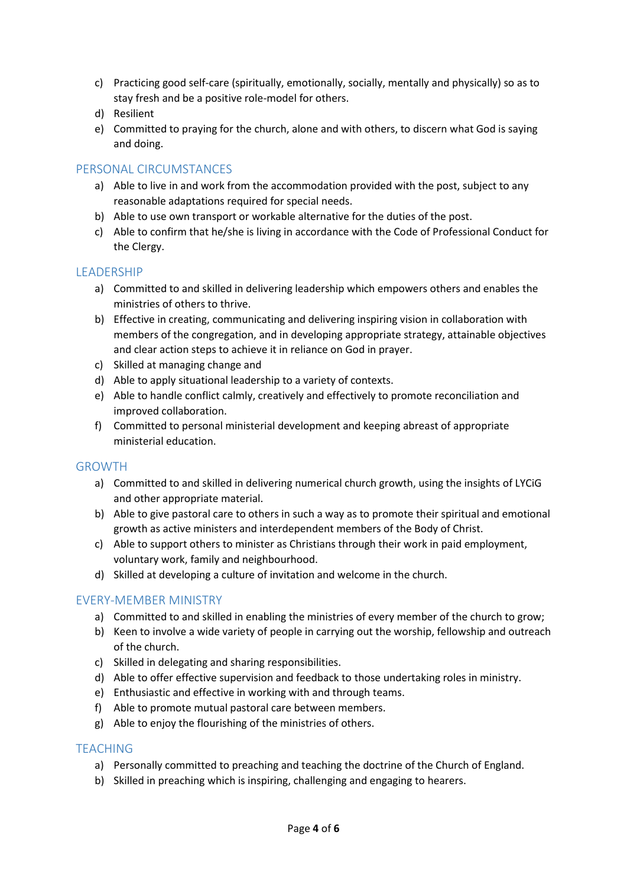- c) Practicing good self-care (spiritually, emotionally, socially, mentally and physically) so as to stay fresh and be a positive role-model for others.
- d) Resilient
- e) Committed to praying for the church, alone and with others, to discern what God is saying and doing.

#### PERSONAL CIRCUMSTANCES

- a) Able to live in and work from the accommodation provided with the post, subject to any reasonable adaptations required for special needs.
- b) Able to use own transport or workable alternative for the duties of the post.
- c) Able to confirm that he/she is living in accordance with the Code of Professional Conduct for the Clergy.

#### **LEADERSHIP**

- a) Committed to and skilled in delivering leadership which empowers others and enables the ministries of others to thrive.
- b) Effective in creating, communicating and delivering inspiring vision in collaboration with members of the congregation, and in developing appropriate strategy, attainable objectives and clear action steps to achieve it in reliance on God in prayer.
- c) Skilled at managing change and
- d) Able to apply situational leadership to a variety of contexts.
- e) Able to handle conflict calmly, creatively and effectively to promote reconciliation and improved collaboration.
- f) Committed to personal ministerial development and keeping abreast of appropriate ministerial education.

#### GROWTH

- a) Committed to and skilled in delivering numerical church growth, using the insights of LYCiG and other appropriate material.
- b) Able to give pastoral care to others in such a way as to promote their spiritual and emotional growth as active ministers and interdependent members of the Body of Christ.
- c) Able to support others to minister as Christians through their work in paid employment, voluntary work, family and neighbourhood.
- d) Skilled at developing a culture of invitation and welcome in the church.

#### EVERY-MEMBER MINISTRY

- a) Committed to and skilled in enabling the ministries of every member of the church to grow;
- b) Keen to involve a wide variety of people in carrying out the worship, fellowship and outreach of the church.
- c) Skilled in delegating and sharing responsibilities.
- d) Able to offer effective supervision and feedback to those undertaking roles in ministry.
- e) Enthusiastic and effective in working with and through teams.
- f) Able to promote mutual pastoral care between members.
- g) Able to enjoy the flourishing of the ministries of others.

#### **TFACHING**

- a) Personally committed to preaching and teaching the doctrine of the Church of England.
- b) Skilled in preaching which is inspiring, challenging and engaging to hearers.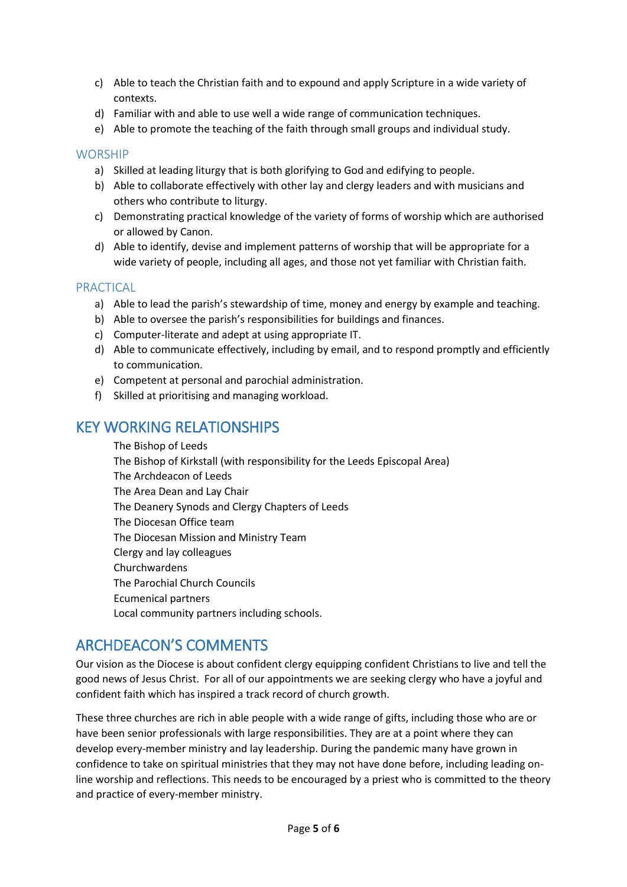- c) Able to teach the Christian faith and to expound and apply Scripture in a wide variety of contexts.
- d) Familiar with and able to use well a wide range of communication techniques.
- e) Able to promote the teaching of the faith through small groups and individual study.

#### **WORSHIP**

- a) Skilled at leading liturgy that is both glorifying to God and edifying to people.
- b) Able to collaborate effectively with other lay and clergy leaders and with musicians and others who contribute to liturgy.
- c) Demonstrating practical knowledge of the variety of forms of worship which are authorised or allowed by Canon.
- d) Able to identify, devise and implement patterns of worship that will be appropriate for a wide variety of people, including all ages, and those not yet familiar with Christian faith.

#### **PRACTICAL**

- a) Able to lead the parish's stewardship of time, money and energy by example and teaching.
- b) Able to oversee the parish's responsibilities for buildings and finances.
- c) Computer-literate and adept at using appropriate IT.
- d) Able to communicate effectively, including by email, and to respond promptly and efficiently to communication.
- e) Competent at personal and parochial administration.
- f) Skilled at prioritising and managing workload.

## KEY WORKING RELATIONSHIPS

The Bishop of Leeds The Bishop of Kirkstall (with responsibility for the Leeds Episcopal Area) The Archdeacon of Leeds The Area Dean and Lay Chair The Deanery Synods and Clergy Chapters of Leeds The Diocesan Office team The Diocesan Mission and Ministry Team Clergy and lay colleagues Churchwardens The Parochial Church Councils Ecumenical partners Local community partners including schools.

## ARCHDEACON'S COMMENTS

Our vision as the Diocese is about confident clergy equipping confident Christians to live and tell the good news of Jesus Christ. For all of our appointments we are seeking clergy who have a joyful and confident faith which has inspired a track record of church growth.

These three churches are rich in able people with a wide range of gifts, including those who are or have been senior professionals with large responsibilities. They are at a point where they can develop every-member ministry and lay leadership. During the pandemic many have grown in confidence to take on spiritual ministries that they may not have done before, including leading online worship and reflections. This needs to be encouraged by a priest who is committed to the theory and practice of every-member ministry.